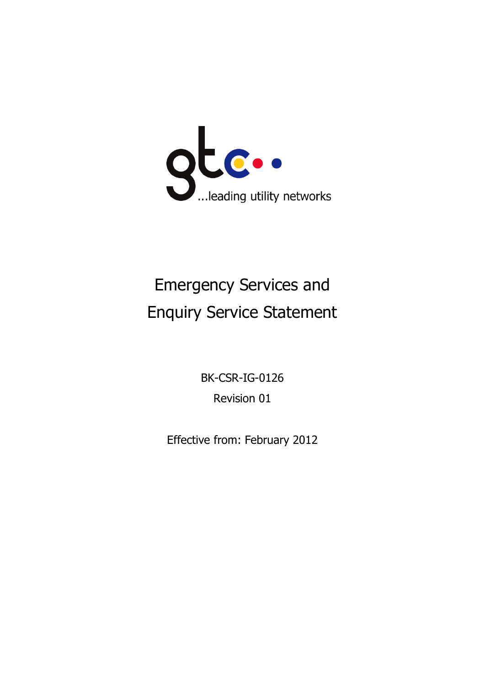

# Emergency Services and Enquiry Service Statement

BK-CSR-IG-0126 Revision 01

Effective from: February 2012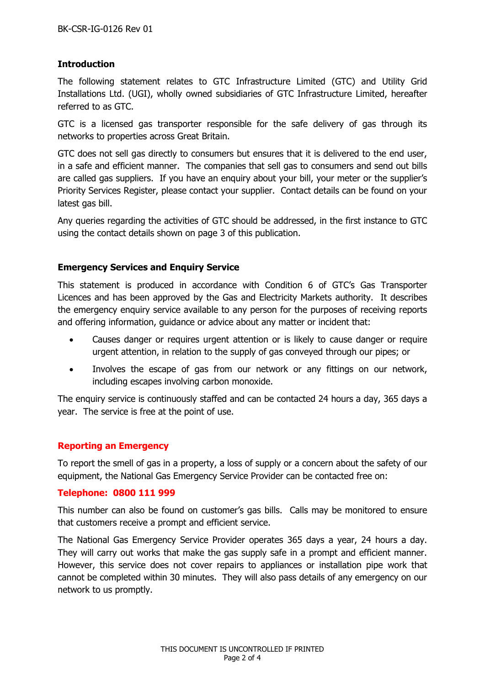## **Introduction**

The following statement relates to GTC Infrastructure Limited (GTC) and Utility Grid Installations Ltd. (UGI), wholly owned subsidiaries of GTC Infrastructure Limited, hereafter referred to as GTC.

GTC is a licensed gas transporter responsible for the safe delivery of gas through its networks to properties across Great Britain.

GTC does not sell gas directly to consumers but ensures that it is delivered to the end user, in a safe and efficient manner. The companies that sell gas to consumers and send out bills are called gas suppliers. If you have an enquiry about your bill, your meter or the supplier's Priority Services Register, please contact your supplier. Contact details can be found on your latest gas bill.

Any queries regarding the activities of GTC should be addressed, in the first instance to GTC using the contact details shown on page 3 of this publication.

### **Emergency Services and Enquiry Service**

This statement is produced in accordance with Condition 6 of GTC's Gas Transporter Licences and has been approved by the Gas and Electricity Markets authority. It describes the emergency enquiry service available to any person for the purposes of receiving reports and offering information, guidance or advice about any matter or incident that:

- Causes danger or requires urgent attention or is likely to cause danger or require urgent attention, in relation to the supply of gas conveyed through our pipes; or
- Involves the escape of gas from our network or any fittings on our network, including escapes involving carbon monoxide.

The enquiry service is continuously staffed and can be contacted 24 hours a day, 365 days a year. The service is free at the point of use.

#### **Reporting an Emergency**

To report the smell of gas in a property, a loss of supply or a concern about the safety of our equipment, the National Gas Emergency Service Provider can be contacted free on:

#### **Telephone: 0800 111 999**

This number can also be found on customer's gas bills. Calls may be monitored to ensure that customers receive a prompt and efficient service.

The National Gas Emergency Service Provider operates 365 days a year, 24 hours a day. They will carry out works that make the gas supply safe in a prompt and efficient manner. However, this service does not cover repairs to appliances or installation pipe work that cannot be completed within 30 minutes. They will also pass details of any emergency on our network to us promptly.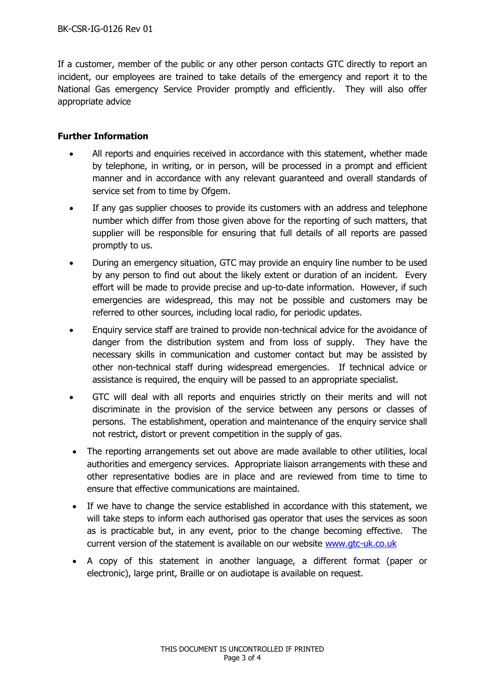If a customer, member of the public or any other person contacts GTC directly to report an incident, our employees are trained to take details of the emergency and report it to the National Gas emergency Service Provider promptly and efficiently. They will also offer appropriate advice

### **Further Information**

- All reports and enquiries received in accordance with this statement, whether made by telephone, in writing, or in person, will be processed in a prompt and efficient manner and in accordance with any relevant guaranteed and overall standards of service set from to time by Ofgem.
- If any gas supplier chooses to provide its customers with an address and telephone number which differ from those given above for the reporting of such matters, that supplier will be responsible for ensuring that full details of all reports are passed promptly to us.
- During an emergency situation, GTC may provide an enquiry line number to be used by any person to find out about the likely extent or duration of an incident. Every effort will be made to provide precise and up-to-date information. However, if such emergencies are widespread, this may not be possible and customers may be referred to other sources, including local radio, for periodic updates.
- Enquiry service staff are trained to provide non-technical advice for the avoidance of danger from the distribution system and from loss of supply. They have the necessary skills in communication and customer contact but may be assisted by other non-technical staff during widespread emergencies. If technical advice or assistance is required, the enquiry will be passed to an appropriate specialist.
- GTC will deal with all reports and enquiries strictly on their merits and will not discriminate in the provision of the service between any persons or classes of persons. The establishment, operation and maintenance of the enquiry service shall not restrict, distort or prevent competition in the supply of gas.
- The reporting arrangements set out above are made available to other utilities, local authorities and emergency services. Appropriate liaison arrangements with these and other representative bodies are in place and are reviewed from time to time to ensure that effective communications are maintained.
- If we have to change the service established in accordance with this statement, we will take steps to inform each authorised gas operator that uses the services as soon as is practicable but, in any event, prior to the change becoming effective. The current version of the statement is available on our website [www.gtc-uk.co.uk](http://www.gtc-uk.co.uk/)
- A copy of this statement in another language, a different format (paper or electronic), large print, Braille or on audiotape is available on request.